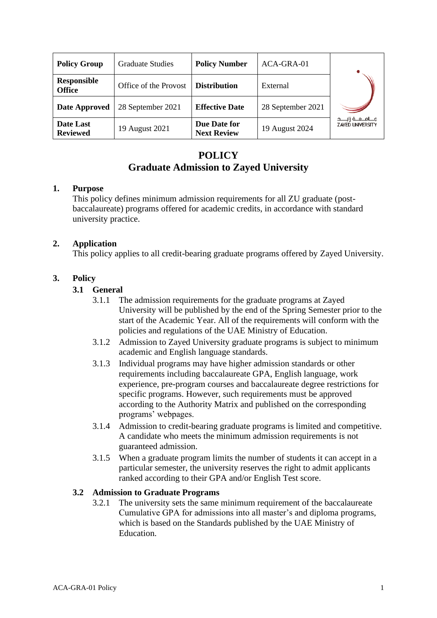| <b>Policy Group</b>                 | <b>Graduate Studies</b> | <b>Policy Number</b>               | ACA-GRA-01        |                                                     |
|-------------------------------------|-------------------------|------------------------------------|-------------------|-----------------------------------------------------|
| <b>Responsible</b><br><b>Office</b> | Office of the Provost   | <b>Distribution</b>                | External          |                                                     |
| <b>Date Approved</b>                | 28 September 2021       | <b>Effective Date</b>              | 28 September 2021 |                                                     |
| Date Last<br><b>Reviewed</b>        | 19 August 2021          | Due Date for<br><b>Next Review</b> | 19 August 2024    | مــــامـــــه زايــــــد<br><b>ZAYED UNIVERSITY</b> |

# **POLICY Graduate Admission to Zayed University**

### **1. Purpose**

This policy defines minimum admission requirements for all ZU graduate (postbaccalaureate) programs offered for academic credits, in accordance with standard university practice.

# **2. Application**

This policy applies to all credit-bearing graduate programs offered by Zayed University.

# **3. Policy**

# **3.1 General**

- 3.1.1 The admission requirements for the graduate programs at Zayed University will be published by the end of the Spring Semester prior to the start of the Academic Year. All of the requirements will conform with the policies and regulations of the UAE Ministry of Education.
- 3.1.2 Admission to Zayed University graduate programs is subject to minimum academic and English language standards.
- 3.1.3 Individual programs may have higher admission standards or other requirements including baccalaureate GPA, English language, work experience, pre-program courses and baccalaureate degree restrictions for specific programs. However, such requirements must be approved according to the Authority Matrix and published on the corresponding programs' webpages.
- 3.1.4 Admission to credit-bearing graduate programs is limited and competitive. A candidate who meets the minimum admission requirements is not guaranteed admission.
- 3.1.5 When a graduate program limits the number of students it can accept in a particular semester, the university reserves the right to admit applicants ranked according to their GPA and/or English Test score.

# **3.2 Admission to Graduate Programs**

3.2.1 The university sets the same minimum requirement of the baccalaureate Cumulative GPA for admissions into all master's and diploma programs, which is based on the Standards published by the UAE Ministry of Education.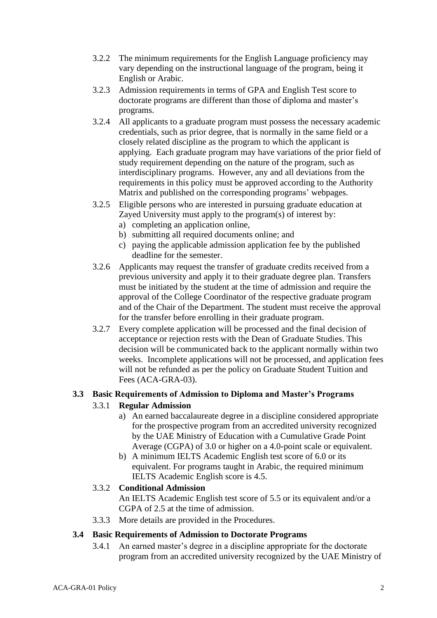- 3.2.2 The minimum requirements for the English Language proficiency may vary depending on the instructional language of the program, being it English or Arabic.
- 3.2.3 Admission requirements in terms of GPA and English Test score to doctorate programs are different than those of diploma and master's programs.
- 3.2.4 All applicants to a graduate program must possess the necessary academic credentials, such as prior degree, that is normally in the same field or a closely related discipline as the program to which the applicant is applying. Each graduate program may have variations of the prior field of study requirement depending on the nature of the program, such as interdisciplinary programs. However, any and all deviations from the requirements in this policy must be approved according to the Authority Matrix and published on the corresponding programs' webpages.
- 3.2.5 Eligible persons who are interested in pursuing graduate education at Zayed University must apply to the program(s) of interest by:
	- a) completing an application online,
	- b) submitting all required documents online; and
	- c) paying the applicable admission application fee by the published deadline for the semester.
- 3.2.6 Applicants may request the transfer of graduate credits received from a previous university and apply it to their graduate degree plan. Transfers must be initiated by the student at the time of admission and require the approval of the College Coordinator of the respective graduate program and of the Chair of the Department. The student must receive the approval for the transfer before enrolling in their graduate program.
- 3.2.7 Every complete application will be processed and the final decision of acceptance or rejection rests with the Dean of Graduate Studies. This decision will be communicated back to the applicant normally within two weeks. Incomplete applications will not be processed, and application fees will not be refunded as per the policy on Graduate Student Tuition and Fees (ACA-GRA-03).

# **3.3 Basic Requirements of Admission to Diploma and Master's Programs**

# 3.3.1 **Regular Admission**

- a) An earned baccalaureate degree in a discipline considered appropriate for the prospective program from an accredited university recognized by the UAE Ministry of Education with a Cumulative Grade Point Average (CGPA) of 3.0 or higher on a 4.0-point scale or equivalent.
- b) A minimum IELTS Academic English test score of 6.0 or its equivalent. For programs taught in Arabic, the required minimum IELTS Academic English score is 4.5.

# 3.3.2 **Conditional Admission**

An IELTS Academic English test score of 5.5 or its equivalent and/or a CGPA of 2.5 at the time of admission.

3.3.3 More details are provided in the Procedures.

#### **3.4 Basic Requirements of Admission to Doctorate Programs**

3.4.1 An earned master's degree in a discipline appropriate for the doctorate program from an accredited university recognized by the UAE Ministry of